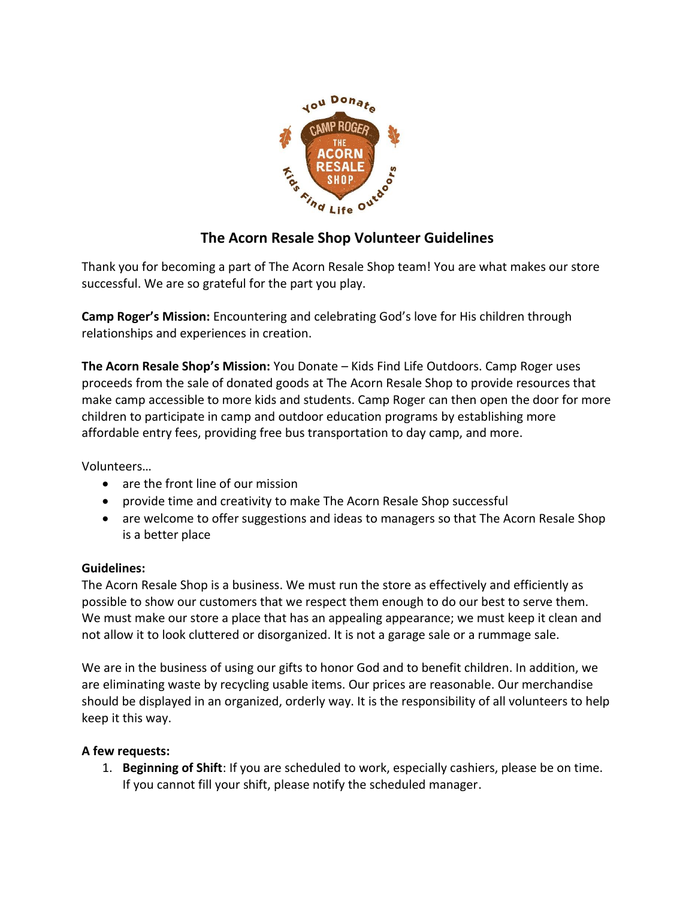

## **The Acorn Resale Shop Volunteer Guidelines**

Thank you for becoming a part of The Acorn Resale Shop team! You are what makes our store successful. We are so grateful for the part you play.

**Camp Roger's Mission:** Encountering and celebrating God's love for His children through relationships and experiences in creation.

**The Acorn Resale Shop's Mission:** You Donate – Kids Find Life Outdoors. Camp Roger uses proceeds from the sale of donated goods at The Acorn Resale Shop to provide resources that make camp accessible to more kids and students. Camp Roger can then open the door for more children to participate in camp and outdoor education programs by establishing more affordable entry fees, providing free bus transportation to day camp, and more.

Volunteers…

- are the front line of our mission
- provide time and creativity to make The Acorn Resale Shop successful
- are welcome to offer suggestions and ideas to managers so that The Acorn Resale Shop is a better place

## **Guidelines:**

The Acorn Resale Shop is a business. We must run the store as effectively and efficiently as possible to show our customers that we respect them enough to do our best to serve them. We must make our store a place that has an appealing appearance; we must keep it clean and not allow it to look cluttered or disorganized. It is not a garage sale or a rummage sale.

We are in the business of using our gifts to honor God and to benefit children. In addition, we are eliminating waste by recycling usable items. Our prices are reasonable. Our merchandise should be displayed in an organized, orderly way. It is the responsibility of all volunteers to help keep it this way.

## **A few requests:**

1. **Beginning of Shift**: If you are scheduled to work, especially cashiers, please be on time. If you cannot fill your shift, please notify the scheduled manager.